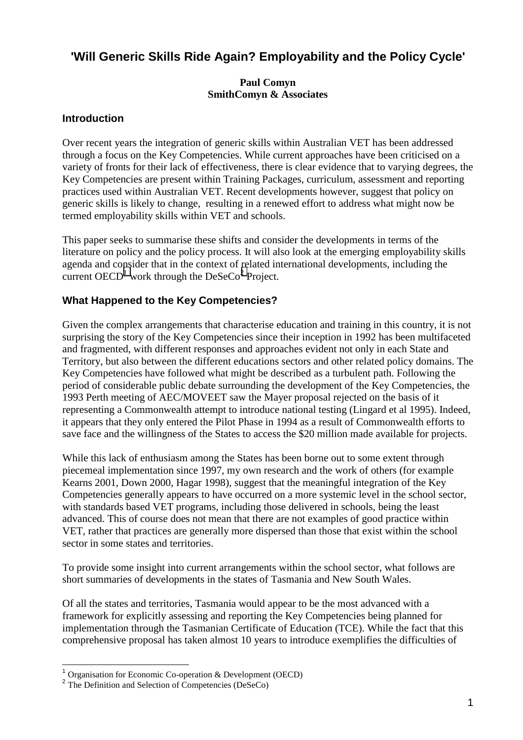# **'Will Generic Skills Ride Again? Employability and the Policy Cycle'**

#### **Paul Comyn SmithComyn & Associates**

### **Introduction**

Over recent years the integration of generic skills within Australian VET has been addressed through a focus on the Key Competencies. While current approaches have been criticised on a variety of fronts for their lack of effectiveness, there is clear evidence that to varying degrees, the Key Competencies are present within Training Packages, curriculum, assessment and reporting practices used within Australian VET. Recent developments however, suggest that policy on generic skills is likely to change, resulting in a renewed effort to address what might now be termed employability skills within VET and schools.

This paper seeks to summarise these shifts and consider the developments in terms of the literature on policy and the policy process. It will also look at the emerging employability skills agenda and consider that in the context of related international developments, including the current OECD<sup>1</sup> work through the DeSeCo<sup>2</sup> Project.

### **What Happened to the Key Competencies?**

Given the complex arrangements that characterise education and training in this country, it is not surprising the story of the Key Competencies since their inception in 1992 has been multifaceted and fragmented, with different responses and approaches evident not only in each State and Territory, but also between the different educations sectors and other related policy domains. The Key Competencies have followed what might be described as a turbulent path. Following the period of considerable public debate surrounding the development of the Key Competencies, the 1993 Perth meeting of AEC/MOVEET saw the Mayer proposal rejected on the basis of it representing a Commonwealth attempt to introduce national testing (Lingard et al 1995). Indeed, it appears that they only entered the Pilot Phase in 1994 as a result of Commonwealth efforts to save face and the willingness of the States to access the \$20 million made available for projects.

While this lack of enthusiasm among the States has been borne out to some extent through piecemeal implementation since 1997, my own research and the work of others (for example Kearns 2001, Down 2000, Hagar 1998), suggest that the meaningful integration of the Key Competencies generally appears to have occurred on a more systemic level in the school sector, with standards based VET programs, including those delivered in schools, being the least advanced. This of course does not mean that there are not examples of good practice within VET, rather that practices are generally more dispersed than those that exist within the school sector in some states and territories.

To provide some insight into current arrangements within the school sector, what follows are short summaries of developments in the states of Tasmania and New South Wales.

Of all the states and territories, Tasmania would appear to be the most advanced with a framework for explicitly assessing and reporting the Key Competencies being planned for implementation through the Tasmanian Certificate of Education (TCE). While the fact that this comprehensive proposal has taken almost 10 years to introduce exemplifies the difficulties of

l

<sup>1</sup> Organisation for Economic Co-operation & Development (OECD)

<sup>&</sup>lt;sup>2</sup> The Definition and Selection of Competencies (DeSeCo)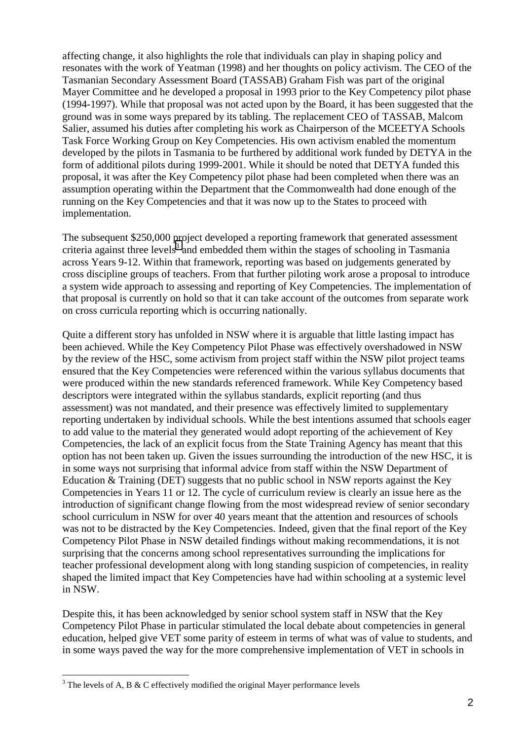affecting change, it also highlights the role that individuals can play in shaping policy and resonates with the work of Yeatman (1998) and her thoughts on policy activism. The CEO of the Tasmanian Secondary Assessment Board (TASSAB) Graham Fish was part of the original Mayer Committee and he developed a proposal in 1993 prior to the Key Competency pilot phase (1994-1997). While that proposal was not acted upon by the Board, it has been suggested that the ground was in some ways prepared by its tabling. The replacement CEO of TASSAB, Malcom Salier, assumed his duties after completing his work as Chairperson of the MCEETYA Schools Task Force Working Group on Key Competencies. His own activism enabled the momentum developed by the pilots in Tasmania to be furthered by additional work funded by DETYA in the form of additional pilots during 1999-2001. While it should be noted that DETYA funded this proposal, it was after the Key Competency pilot phase had been completed when there was an assumption operating within the Department that the Commonwealth had done enough of the running on the Key Competencies and that it was now up to the States to proceed with implementation.

The subsequent \$250,000 project developed a reporting framework that generated assessment criteria against three levels<sup>3</sup> and embedded them within the stages of schooling in Tasmania across Years 9-12. Within that framework, reporting was based on judgements generated by cross discipline groups of teachers. From that further piloting work arose a proposal to introduce a system wide approach to assessing and reporting of Key Competencies. The implementation of that proposal is currently on hold so that it can take account of the outcomes from separate work on cross curricula reporting which is occurring nationally.

Quite a different story has unfolded in NSW where it is arguable that little lasting impact has been achieved. While the Key Competency Pilot Phase was effectively overshadowed in NSW by the review of the HSC, some activism from project staff within the NSW pilot project teams ensured that the Key Competencies were referenced within the various syllabus documents that were produced within the new standards referenced framework. While Key Competency based descriptors were integrated within the syllabus standards, explicit reporting (and thus assessment) was not mandated, and their presence was effectively limited to supplementary reporting undertaken by individual schools. While the best intentions assumed that schools eager to add value to the material they generated would adopt reporting of the achievement of Key Competencies, the lack of an explicit focus from the State Training Agency has meant that this option has not been taken up. Given the issues surrounding the introduction of the new HSC, it is in some ways not surprising that informal advice from staff within the NSW Department of Education & Training (DET) suggests that no public school in NSW reports against the Key Competencies in Years 11 or 12. The cycle of curriculum review is clearly an issue here as the introduction of significant change flowing from the most widespread review of senior secondary school curriculum in NSW for over 40 years meant that the attention and resources of schools was not to be distracted by the Key Competencies. Indeed, given that the final report of the Key Competency Pilot Phase in NSW detailed findings without making recommendations, it is not surprising that the concerns among school representatives surrounding the implications for teacher professional development along with long standing suspicion of competencies, in reality shaped the limited impact that Key Competencies have had within schooling at a systemic level in NSW.

Despite this, it has been acknowledged by senior school system staff in NSW that the Key Competency Pilot Phase in particular stimulated the local debate about competencies in general education, helped give VET some parity of esteem in terms of what was of value to students, and in some ways paved the way for the more comprehensive implementation of VET in schools in

l

 $3$  The levels of A, B & C effectively modified the original Mayer performance levels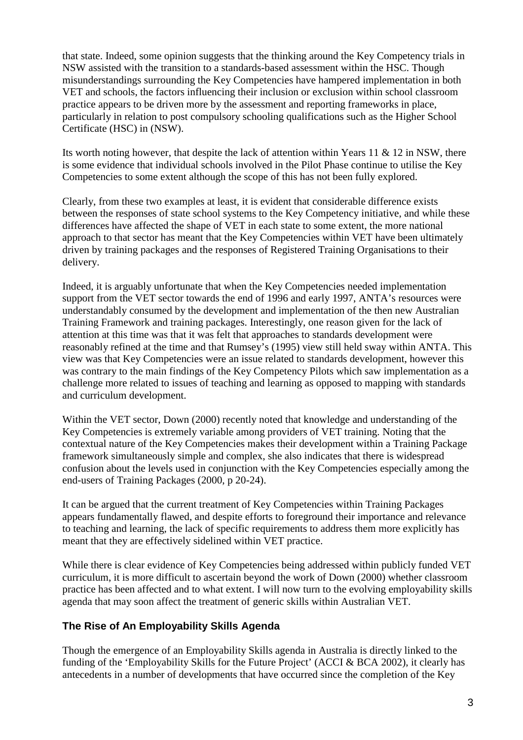that state. Indeed, some opinion suggests that the thinking around the Key Competency trials in NSW assisted with the transition to a standards-based assessment within the HSC. Though misunderstandings surrounding the Key Competencies have hampered implementation in both VET and schools, the factors influencing their inclusion or exclusion within school classroom practice appears to be driven more by the assessment and reporting frameworks in place, particularly in relation to post compulsory schooling qualifications such as the Higher School Certificate (HSC) in (NSW).

Its worth noting however, that despite the lack of attention within Years 11  $\&$  12 in NSW, there is some evidence that individual schools involved in the Pilot Phase continue to utilise the Key Competencies to some extent although the scope of this has not been fully explored.

Clearly, from these two examples at least, it is evident that considerable difference exists between the responses of state school systems to the Key Competency initiative, and while these differences have affected the shape of VET in each state to some extent, the more national approach to that sector has meant that the Key Competencies within VET have been ultimately driven by training packages and the responses of Registered Training Organisations to their delivery.

Indeed, it is arguably unfortunate that when the Key Competencies needed implementation support from the VET sector towards the end of 1996 and early 1997, ANTA's resources were understandably consumed by the development and implementation of the then new Australian Training Framework and training packages. Interestingly, one reason given for the lack of attention at this time was that it was felt that approaches to standards development were reasonably refined at the time and that Rumsey's (1995) view still held sway within ANTA. This view was that Key Competencies were an issue related to standards development, however this was contrary to the main findings of the Key Competency Pilots which saw implementation as a challenge more related to issues of teaching and learning as opposed to mapping with standards and curriculum development.

Within the VET sector, Down (2000) recently noted that knowledge and understanding of the Key Competencies is extremely variable among providers of VET training. Noting that the contextual nature of the Key Competencies makes their development within a Training Package framework simultaneously simple and complex, she also indicates that there is widespread confusion about the levels used in conjunction with the Key Competencies especially among the end-users of Training Packages (2000, p 20-24).

It can be argued that the current treatment of Key Competencies within Training Packages appears fundamentally flawed, and despite efforts to foreground their importance and relevance to teaching and learning, the lack of specific requirements to address them more explicitly has meant that they are effectively sidelined within VET practice.

While there is clear evidence of Key Competencies being addressed within publicly funded VET curriculum, it is more difficult to ascertain beyond the work of Down (2000) whether classroom practice has been affected and to what extent. I will now turn to the evolving employability skills agenda that may soon affect the treatment of generic skills within Australian VET.

# **The Rise of An Employability Skills Agenda**

Though the emergence of an Employability Skills agenda in Australia is directly linked to the funding of the 'Employability Skills for the Future Project' (ACCI & BCA 2002), it clearly has antecedents in a number of developments that have occurred since the completion of the Key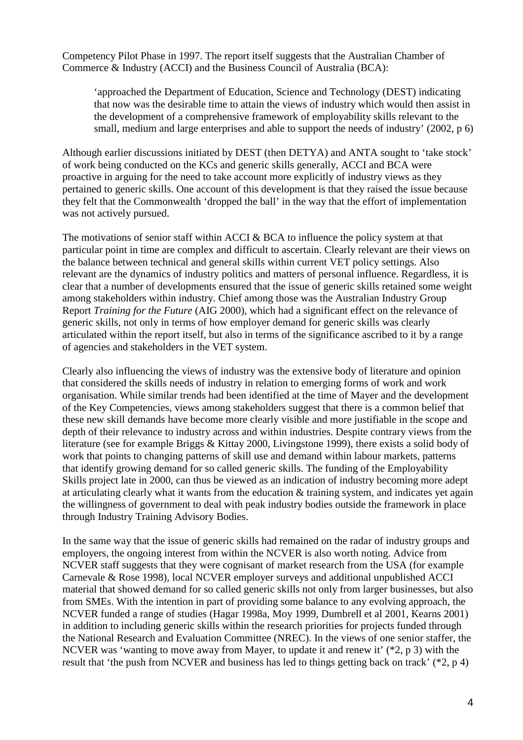Competency Pilot Phase in 1997. The report itself suggests that the Australian Chamber of Commerce & Industry (ACCI) and the Business Council of Australia (BCA):

'approached the Department of Education, Science and Technology (DEST) indicating that now was the desirable time to attain the views of industry which would then assist in the development of a comprehensive framework of employability skills relevant to the small, medium and large enterprises and able to support the needs of industry' (2002, p 6)

Although earlier discussions initiated by DEST (then DETYA) and ANTA sought to 'take stock' of work being conducted on the KCs and generic skills generally, ACCI and BCA were proactive in arguing for the need to take account more explicitly of industry views as they pertained to generic skills. One account of this development is that they raised the issue because they felt that the Commonwealth 'dropped the ball' in the way that the effort of implementation was not actively pursued.

The motivations of senior staff within ACCI & BCA to influence the policy system at that particular point in time are complex and difficult to ascertain. Clearly relevant are their views on the balance between technical and general skills within current VET policy settings. Also relevant are the dynamics of industry politics and matters of personal influence. Regardless, it is clear that a number of developments ensured that the issue of generic skills retained some weight among stakeholders within industry. Chief among those was the Australian Industry Group Report *Training for the Future* (AIG 2000), which had a significant effect on the relevance of generic skills, not only in terms of how employer demand for generic skills was clearly articulated within the report itself, but also in terms of the significance ascribed to it by a range of agencies and stakeholders in the VET system.

Clearly also influencing the views of industry was the extensive body of literature and opinion that considered the skills needs of industry in relation to emerging forms of work and work organisation. While similar trends had been identified at the time of Mayer and the development of the Key Competencies, views among stakeholders suggest that there is a common belief that these new skill demands have become more clearly visible and more justifiable in the scope and depth of their relevance to industry across and within industries. Despite contrary views from the literature (see for example Briggs & Kittay 2000, Livingstone 1999), there exists a solid body of work that points to changing patterns of skill use and demand within labour markets, patterns that identify growing demand for so called generic skills. The funding of the Employability Skills project late in 2000, can thus be viewed as an indication of industry becoming more adept at articulating clearly what it wants from the education & training system, and indicates yet again the willingness of government to deal with peak industry bodies outside the framework in place through Industry Training Advisory Bodies.

In the same way that the issue of generic skills had remained on the radar of industry groups and employers, the ongoing interest from within the NCVER is also worth noting. Advice from NCVER staff suggests that they were cognisant of market research from the USA (for example Carnevale & Rose 1998), local NCVER employer surveys and additional unpublished ACCI material that showed demand for so called generic skills not only from larger businesses, but also from SMEs. With the intention in part of providing some balance to any evolving approach, the NCVER funded a range of studies (Hagar 1998a, Moy 1999, Dumbrell et al 2001, Kearns 2001) in addition to including generic skills within the research priorities for projects funded through the National Research and Evaluation Committee (NREC). In the views of one senior staffer, the NCVER was 'wanting to move away from Mayer, to update it and renew it' (\*2, p 3) with the result that 'the push from NCVER and business has led to things getting back on track' (\*2, p 4)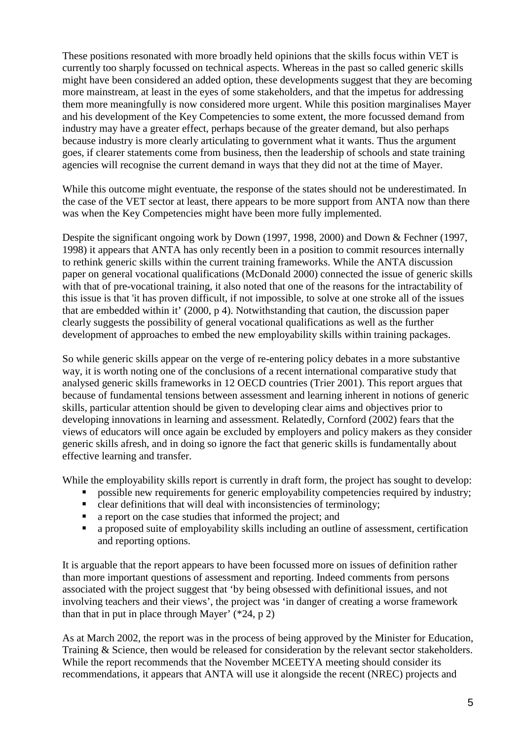These positions resonated with more broadly held opinions that the skills focus within VET is currently too sharply focussed on technical aspects. Whereas in the past so called generic skills might have been considered an added option, these developments suggest that they are becoming more mainstream, at least in the eyes of some stakeholders, and that the impetus for addressing them more meaningfully is now considered more urgent. While this position marginalises Mayer and his development of the Key Competencies to some extent, the more focussed demand from industry may have a greater effect, perhaps because of the greater demand, but also perhaps because industry is more clearly articulating to government what it wants. Thus the argument goes, if clearer statements come from business, then the leadership of schools and state training agencies will recognise the current demand in ways that they did not at the time of Mayer.

While this outcome might eventuate, the response of the states should not be underestimated. In the case of the VET sector at least, there appears to be more support from ANTA now than there was when the Key Competencies might have been more fully implemented.

Despite the significant ongoing work by Down (1997, 1998, 2000) and Down & Fechner (1997, 1998) it appears that ANTA has only recently been in a position to commit resources internally to rethink generic skills within the current training frameworks. While the ANTA discussion paper on general vocational qualifications (McDonald 2000) connected the issue of generic skills with that of pre-vocational training, it also noted that one of the reasons for the intractability of this issue is that 'it has proven difficult, if not impossible, to solve at one stroke all of the issues that are embedded within it' (2000, p 4). Notwithstanding that caution, the discussion paper clearly suggests the possibility of general vocational qualifications as well as the further development of approaches to embed the new employability skills within training packages.

So while generic skills appear on the verge of re-entering policy debates in a more substantive way, it is worth noting one of the conclusions of a recent international comparative study that analysed generic skills frameworks in 12 OECD countries (Trier 2001). This report argues that because of fundamental tensions between assessment and learning inherent in notions of generic skills, particular attention should be given to developing clear aims and objectives prior to developing innovations in learning and assessment. Relatedly, Cornford (2002) fears that the views of educators will once again be excluded by employers and policy makers as they consider generic skills afresh, and in doing so ignore the fact that generic skills is fundamentally about effective learning and transfer.

While the employability skills report is currently in draft form, the project has sought to develop:

- possible new requirements for generic employability competencies required by industry;
- clear definitions that will deal with inconsistencies of terminology;
- a report on the case studies that informed the project; and
- a proposed suite of employability skills including an outline of assessment, certification and reporting options.

It is arguable that the report appears to have been focussed more on issues of definition rather than more important questions of assessment and reporting. Indeed comments from persons associated with the project suggest that 'by being obsessed with definitional issues, and not involving teachers and their views', the project was 'in danger of creating a worse framework than that in put in place through Mayer'  $(*24, p 2)$ 

As at March 2002, the report was in the process of being approved by the Minister for Education, Training & Science, then would be released for consideration by the relevant sector stakeholders. While the report recommends that the November MCEETYA meeting should consider its recommendations, it appears that ANTA will use it alongside the recent (NREC) projects and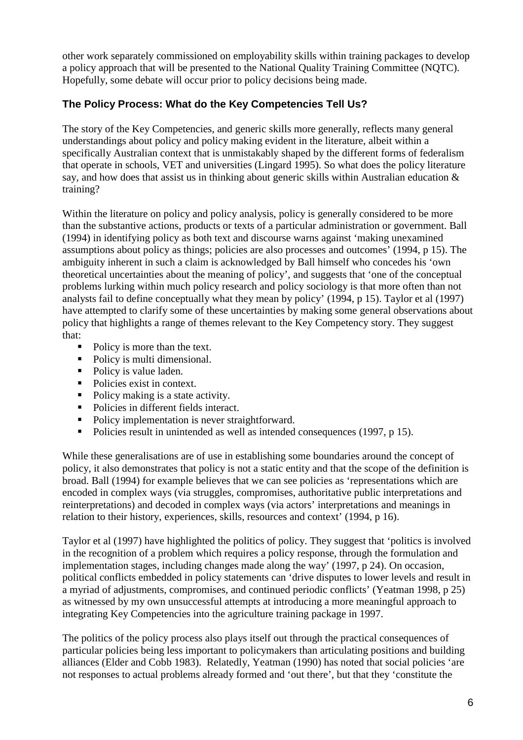other work separately commissioned on employability skills within training packages to develop a policy approach that will be presented to the National Quality Training Committee (NQTC). Hopefully, some debate will occur prior to policy decisions being made.

# **The Policy Process: What do the Key Competencies Tell Us?**

The story of the Key Competencies, and generic skills more generally, reflects many general understandings about policy and policy making evident in the literature, albeit within a specifically Australian context that is unmistakably shaped by the different forms of federalism that operate in schools, VET and universities (Lingard 1995). So what does the policy literature say, and how does that assist us in thinking about generic skills within Australian education & training?

Within the literature on policy and policy analysis, policy is generally considered to be more than the substantive actions, products or texts of a particular administration or government. Ball (1994) in identifying policy as both text and discourse warns against 'making unexamined assumptions about policy as things; policies are also processes and outcomes' (1994, p 15). The ambiguity inherent in such a claim is acknowledged by Ball himself who concedes his 'own theoretical uncertainties about the meaning of policy', and suggests that 'one of the conceptual problems lurking within much policy research and policy sociology is that more often than not analysts fail to define conceptually what they mean by policy' (1994, p 15). Taylor et al (1997) have attempted to clarify some of these uncertainties by making some general observations about policy that highlights a range of themes relevant to the Key Competency story. They suggest that:

- Policy is more than the text.
- Policy is multi dimensional.
- Policy is value laden.
- Policies exist in context.
- Policy making is a state activity.
- Policies in different fields interact.
- Policy implementation is never straightforward.
- Policies result in unintended as well as intended consequences (1997, p 15).

While these generalisations are of use in establishing some boundaries around the concept of policy, it also demonstrates that policy is not a static entity and that the scope of the definition is broad. Ball (1994) for example believes that we can see policies as 'representations which are encoded in complex ways (via struggles, compromises, authoritative public interpretations and reinterpretations) and decoded in complex ways (via actors' interpretations and meanings in relation to their history, experiences, skills, resources and context' (1994, p 16).

Taylor et al (1997) have highlighted the politics of policy. They suggest that 'politics is involved in the recognition of a problem which requires a policy response, through the formulation and implementation stages, including changes made along the way' (1997, p 24). On occasion, political conflicts embedded in policy statements can 'drive disputes to lower levels and result in a myriad of adjustments, compromises, and continued periodic conflicts' (Yeatman 1998, p 25) as witnessed by my own unsuccessful attempts at introducing a more meaningful approach to integrating Key Competencies into the agriculture training package in 1997.

The politics of the policy process also plays itself out through the practical consequences of particular policies being less important to policymakers than articulating positions and building alliances (Elder and Cobb 1983). Relatedly, Yeatman (1990) has noted that social policies 'are not responses to actual problems already formed and 'out there', but that they 'constitute the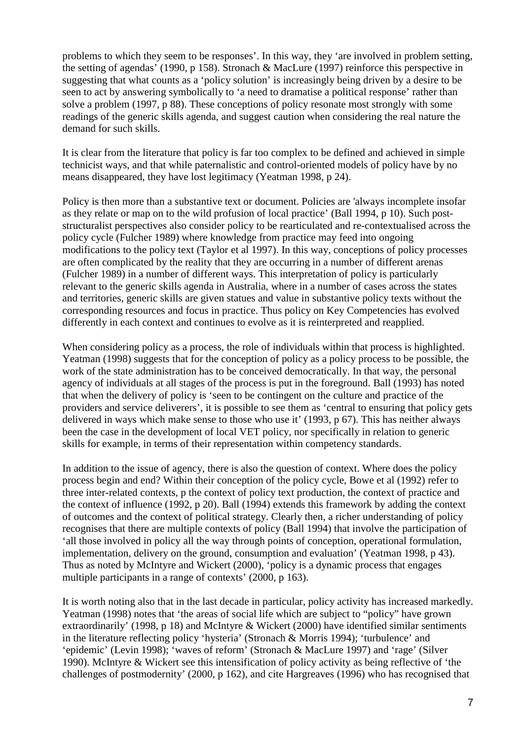problems to which they seem to be responses'. In this way, they 'are involved in problem setting, the setting of agendas' (1990, p 158). Stronach & MacLure (1997) reinforce this perspective in suggesting that what counts as a 'policy solution' is increasingly being driven by a desire to be seen to act by answering symbolically to 'a need to dramatise a political response' rather than solve a problem (1997, p 88). These conceptions of policy resonate most strongly with some readings of the generic skills agenda, and suggest caution when considering the real nature the demand for such skills.

It is clear from the literature that policy is far too complex to be defined and achieved in simple technicist ways, and that while paternalistic and control-oriented models of policy have by no means disappeared, they have lost legitimacy (Yeatman 1998, p 24).

Policy is then more than a substantive text or document. Policies are 'always incomplete insofar as they relate or map on to the wild profusion of local practice' (Ball 1994, p 10). Such poststructuralist perspectives also consider policy to be rearticulated and re-contextualised across the policy cycle (Fulcher 1989) where knowledge from practice may feed into ongoing modifications to the policy text (Taylor et al 1997). In this way, conceptions of policy processes are often complicated by the reality that they are occurring in a number of different arenas (Fulcher 1989) in a number of different ways. This interpretation of policy is particularly relevant to the generic skills agenda in Australia, where in a number of cases across the states and territories, generic skills are given statues and value in substantive policy texts without the corresponding resources and focus in practice. Thus policy on Key Competencies has evolved differently in each context and continues to evolve as it is reinterpreted and reapplied.

When considering policy as a process, the role of individuals within that process is highlighted. Yeatman (1998) suggests that for the conception of policy as a policy process to be possible, the work of the state administration has to be conceived democratically. In that way, the personal agency of individuals at all stages of the process is put in the foreground. Ball (1993) has noted that when the delivery of policy is 'seen to be contingent on the culture and practice of the providers and service deliverers', it is possible to see them as 'central to ensuring that policy gets delivered in ways which make sense to those who use it' (1993, p 67). This has neither always been the case in the development of local VET policy, nor specifically in relation to generic skills for example, in terms of their representation within competency standards.

In addition to the issue of agency, there is also the question of context. Where does the policy process begin and end? Within their conception of the policy cycle, Bowe et al (1992) refer to three inter-related contexts, p the context of policy text production, the context of practice and the context of influence (1992, p 20). Ball (1994) extends this framework by adding the context of outcomes and the context of political strategy. Clearly then, a richer understanding of policy recognises that there are multiple contexts of policy (Ball 1994) that involve the participation of 'all those involved in policy all the way through points of conception, operational formulation, implementation, delivery on the ground, consumption and evaluation' (Yeatman 1998, p 43). Thus as noted by McIntyre and Wickert (2000), 'policy is a dynamic process that engages multiple participants in a range of contexts' (2000, p 163).

It is worth noting also that in the last decade in particular, policy activity has increased markedly. Yeatman (1998) notes that 'the areas of social life which are subject to "policy" have grown extraordinarily' (1998, p 18) and McIntyre & Wickert (2000) have identified similar sentiments in the literature reflecting policy 'hysteria' (Stronach & Morris 1994); 'turbulence' and 'epidemic' (Levin 1998); 'waves of reform' (Stronach & MacLure 1997) and 'rage' (Silver 1990). McIntyre & Wickert see this intensification of policy activity as being reflective of 'the challenges of postmodernity' (2000, p 162), and cite Hargreaves (1996) who has recognised that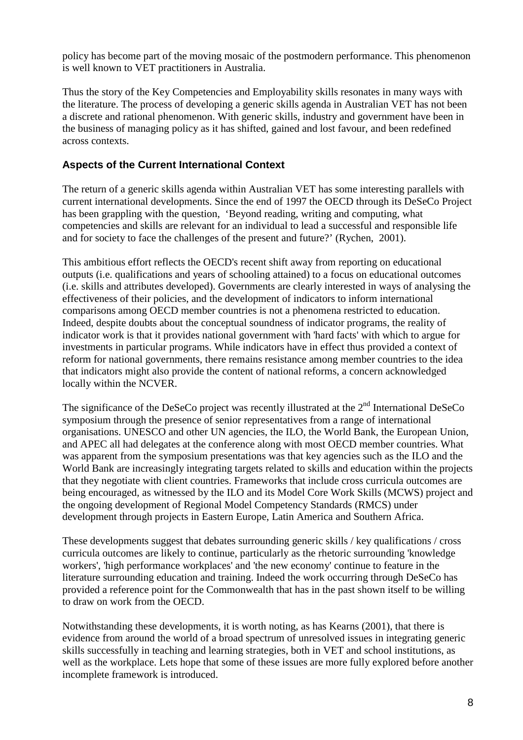policy has become part of the moving mosaic of the postmodern performance. This phenomenon is well known to VET practitioners in Australia.

Thus the story of the Key Competencies and Employability skills resonates in many ways with the literature. The process of developing a generic skills agenda in Australian VET has not been a discrete and rational phenomenon. With generic skills, industry and government have been in the business of managing policy as it has shifted, gained and lost favour, and been redefined across contexts.

# **Aspects of the Current International Context**

The return of a generic skills agenda within Australian VET has some interesting parallels with current international developments. Since the end of 1997 the OECD through its DeSeCo Project has been grappling with the question, 'Beyond reading, writing and computing, what competencies and skills are relevant for an individual to lead a successful and responsible life and for society to face the challenges of the present and future?' (Rychen, 2001).

This ambitious effort reflects the OECD's recent shift away from reporting on educational outputs (i.e. qualifications and years of schooling attained) to a focus on educational outcomes (i.e. skills and attributes developed). Governments are clearly interested in ways of analysing the effectiveness of their policies, and the development of indicators to inform international comparisons among OECD member countries is not a phenomena restricted to education. Indeed, despite doubts about the conceptual soundness of indicator programs, the reality of indicator work is that it provides national government with 'hard facts' with which to argue for investments in particular programs. While indicators have in effect thus provided a context of reform for national governments, there remains resistance among member countries to the idea that indicators might also provide the content of national reforms, a concern acknowledged locally within the NCVER.

The significance of the DeSeCo project was recently illustrated at the  $2<sup>nd</sup>$  International DeSeCo symposium through the presence of senior representatives from a range of international organisations. UNESCO and other UN agencies, the ILO, the World Bank, the European Union, and APEC all had delegates at the conference along with most OECD member countries. What was apparent from the symposium presentations was that key agencies such as the ILO and the World Bank are increasingly integrating targets related to skills and education within the projects that they negotiate with client countries. Frameworks that include cross curricula outcomes are being encouraged, as witnessed by the ILO and its Model Core Work Skills (MCWS) project and the ongoing development of Regional Model Competency Standards (RMCS) under development through projects in Eastern Europe, Latin America and Southern Africa.

These developments suggest that debates surrounding generic skills / key qualifications / cross curricula outcomes are likely to continue, particularly as the rhetoric surrounding 'knowledge workers', 'high performance workplaces' and 'the new economy' continue to feature in the literature surrounding education and training. Indeed the work occurring through DeSeCo has provided a reference point for the Commonwealth that has in the past shown itself to be willing to draw on work from the OECD.

Notwithstanding these developments, it is worth noting, as has Kearns (2001), that there is evidence from around the world of a broad spectrum of unresolved issues in integrating generic skills successfully in teaching and learning strategies, both in VET and school institutions, as well as the workplace. Lets hope that some of these issues are more fully explored before another incomplete framework is introduced.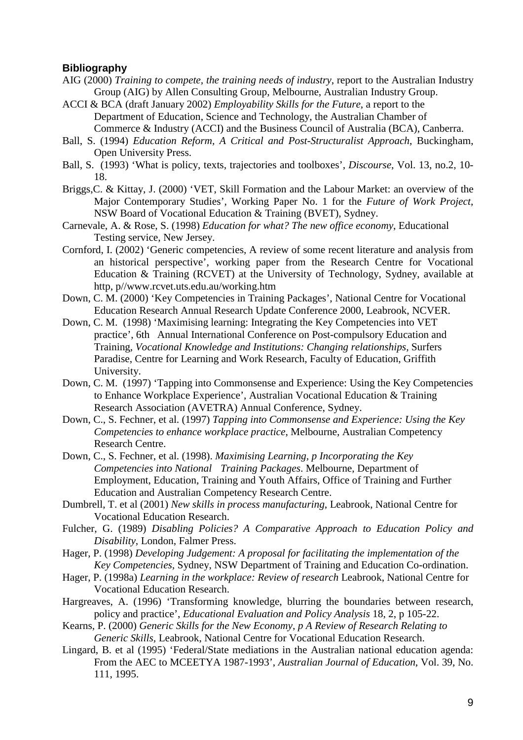#### **Bibliography**

- AIG (2000) *Training to compete, the training needs of industry*, report to the Australian Industry Group (AIG) by Allen Consulting Group, Melbourne, Australian Industry Group.
- ACCI & BCA (draft January 2002) *Employability Skills for the Future*, a report to the Department of Education, Science and Technology, the Australian Chamber of Commerce & Industry (ACCI) and the Business Council of Australia (BCA), Canberra.
- Ball, S. (1994) *Education Reform, A Critical and Post-Structuralist Approach*, Buckingham, Open University Press.
- Ball, S. (1993) 'What is policy, texts, trajectories and toolboxes', *Discourse*, Vol. 13, no.2, 10- 18.
- Briggs,C. & Kittay, J. (2000) 'VET, Skill Formation and the Labour Market: an overview of the Major Contemporary Studies', Working Paper No. 1 for the *Future of Work Project*, NSW Board of Vocational Education & Training (BVET), Sydney.
- Carnevale, A. & Rose, S. (1998) *Education for what? The new office economy*, Educational Testing service, New Jersey.
- Cornford, I. (2002) 'Generic competencies, A review of some recent literature and analysis from an historical perspective', working paper from the Research Centre for Vocational Education & Training (RCVET) at the University of Technology, Sydney, available at http, p//www.rcvet.uts.edu.au/working.htm
- Down, C. M. (2000) 'Key Competencies in Training Packages', National Centre for Vocational Education Research Annual Research Update Conference 2000, Leabrook, NCVER.
- Down, C. M. (1998) 'Maximising learning: Integrating the Key Competencies into VET practice', 6th Annual International Conference on Post-compulsory Education and Training, *Vocational Knowledge and Institutions: Changing relationships*, Surfers Paradise, Centre for Learning and Work Research, Faculty of Education, Griffith University.
- Down, C. M. (1997) 'Tapping into Commonsense and Experience: Using the Key Competencies to Enhance Workplace Experience', Australian Vocational Education & Training Research Association (AVETRA) Annual Conference, Sydney.
- Down, C., S. Fechner, et al. (1997) *Tapping into Commonsense and Experience: Using the Key Competencies to enhance workplace practice*, Melbourne, Australian Competency Research Centre.
- Down, C., S. Fechner, et al. (1998). *Maximising Learning, p Incorporating the Key Competencies into National Training Packages*. Melbourne, Department of Employment, Education, Training and Youth Affairs, Office of Training and Further Education and Australian Competency Research Centre.
- Dumbrell, T. et al (2001) *New skills in process manufacturing*, Leabrook, National Centre for Vocational Education Research.
- Fulcher, G. (1989) *Disabling Policies? A Comparative Approach to Education Policy and Disability*, London, Falmer Press.
- Hager, P. (1998) *Developing Judgement: A proposal for facilitating the implementation of the Key Competencies,* Sydney, NSW Department of Training and Education Co-ordination.
- Hager, P. (1998a) *Learning in the workplace: Review of research* Leabrook, National Centre for Vocational Education Research.
- Hargreaves, A. (1996) 'Transforming knowledge, blurring the boundaries between research, policy and practice', *Educational Evaluation and Policy Analysis* 18, 2, p 105-22.
- Kearns, P. (2000) *Generic Skills for the New Economy, p A Review of Research Relating to Generic Skills,* Leabrook, National Centre for Vocational Education Research.
- Lingard, B. et al (1995) 'Federal/State mediations in the Australian national education agenda: From the AEC to MCEETYA 1987-1993', *Australian Journal of Education*, Vol. 39, No. 111, 1995.